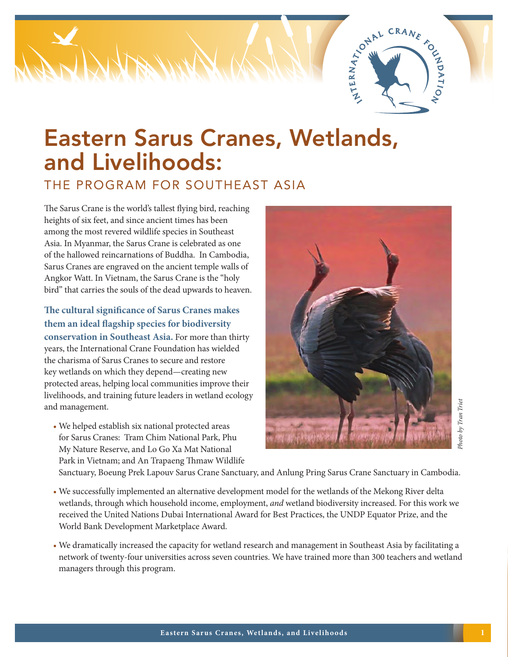

# Eastern Sarus Cranes, Wetlands, and Livelihoods:

THE PROGRAM FOR SOUTHEAST ASIA

The Sarus Crane is the world's tallest flying bird, reaching heights of six feet, and since ancient times has been among the most revered wildlife species in Southeast Asia. In Myanmar, the Sarus Crane is celebrated as one of the hallowed reincarnations of Buddha. In Cambodia, Sarus Cranes are engraved on the ancient temple walls of Angkor Watt. In Vietnam, the Sarus Crane is the "holy bird" that carries the souls of the dead upwards to heaven.

**The cultural significance of Sarus Cranes makes them an ideal flagship species for biodiversity conservation in Southeast Asia.** For more than thirty years, the International Crane Foundation has wielded the charisma of Sarus Cranes to secure and restore key wetlands on which they depend—creating new protected areas, helping local communities improve their livelihoods, and training future leaders in wetland ecology and management.

• We helped establish six national protected areas for Sarus Cranes: Tram Chim National Park, Phu My Nature Reserve, and Lo Go Xa Mat National Park in Vietnam; and An Trapaeng Thmaw Wildlife



Sanctuary, Boeung Prek Lapouv Sarus Crane Sanctuary, and Anlung Pring Sarus Crane Sanctuary in Cambodia.

- We successfully implemented an alternative development model for the wetlands of the Mekong River delta wetlands, through which household income, employment, *and* wetland biodiversity increased. For this work we received the United Nations Dubai International Award for Best Practices, the UNDP Equator Prize, and the World Bank Development Marketplace Award.
- We dramatically increased the capacity for wetland research and management in Southeast Asia by facilitating a network of twenty-four universities across seven countries. We have trained more than 300 teachers and wetland managers through this program.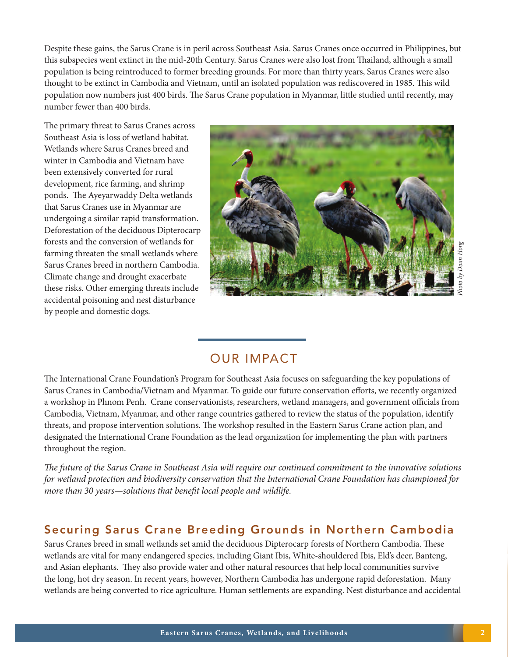Despite these gains, the Sarus Crane is in peril across Southeast Asia. Sarus Cranes once occurred in Philippines, but this subspecies went extinct in the mid-20th Century. Sarus Cranes were also lost from Thailand, although a small population is being reintroduced to former breeding grounds. For more than thirty years, Sarus Cranes were also thought to be extinct in Cambodia and Vietnam, until an isolated population was rediscovered in 1985. This wild population now numbers just 400 birds. The Sarus Crane population in Myanmar, little studied until recently, may number fewer than 400 birds.

The primary threat to Sarus Cranes across Southeast Asia is loss of wetland habitat. Wetlands where Sarus Cranes breed and winter in Cambodia and Vietnam have been extensively converted for rural development, rice farming, and shrimp ponds. The Ayeyarwaddy Delta wetlands that Sarus Cranes use in Myanmar are undergoing a similar rapid transformation. Deforestation of the deciduous Dipterocarp forests and the conversion of wetlands for farming threaten the small wetlands where Sarus Cranes breed in northern Cambodia. Climate change and drought exacerbate these risks. Other emerging threats include accidental poisoning and nest disturbance by people and domestic dogs.



## OUR IMPACT

The International Crane Foundation's Program for Southeast Asia focuses on safeguarding the key populations of Sarus Cranes in Cambodia/Vietnam and Myanmar. To guide our future conservation efforts, we recently organized a workshop in Phnom Penh. Crane conservationists, researchers, wetland managers, and government officials from Cambodia, Vietnam, Myanmar, and other range countries gathered to review the status of the population, identify threats, and propose intervention solutions. The workshop resulted in the Eastern Sarus Crane action plan, and designated the International Crane Foundation as the lead organization for implementing the plan with partners throughout the region. Wetlement to reaction of wetlands are well are meantly reduced to rice agriculture. Human settlements are provide verted in the photo content and the photo converted to rice and the photo and photon converted to react a an

*The future of the Sarus Crane in Southeast Asia will require our continued commitment to the innovative solutions for wetland protection and biodiversity conservation that the International Crane Foundation has championed for more than 30 years—solutions that benefit local people and wildlife.*

#### Securing Sarus Crane Breeding Grounds in Northern Cambodia

Sarus Cranes breed in small wetlands set amid the deciduous Dipterocarp forests of Northern Cambodia. These wetlands are vital for many endangered species, including Giant Ibis, White-shouldered Ibis, Eld's deer, Banteng, and Asian elephants. They also provide water and other natural resources that help local communities survive the long, hot dry season. In recent years, however, Northern Cambodia has undergone rapid deforestation. Many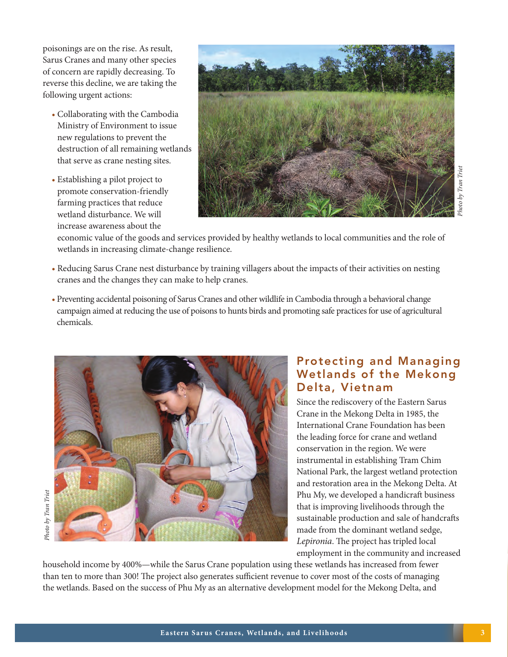poisonings are on the rise. As result, Sarus Cranes and many other species of concern are rapidly decreasing. To reverse this decline, we are taking the following urgent actions:

- Collaborating with the Cambodia Ministry of Environment to issue new regulations to prevent the destruction of all remaining wetlands that serve as crane nesting sites.
- Establishing a pilot project to promote conservation-friendly farming practices that reduce wetland disturbance. We will increase awareness about the



economic value of the goods and services provided by healthy wetlands to local communities and the role of wetlands in increasing climate-change resilience.

- Reducing Sarus Crane nest disturbance by training villagers about the impacts of their activities on nesting cranes and the changes they can make to help cranes.
- Preventing accidental poisoning of Sarus Cranes and other wildlife in Cambodia through a behavioral change campaign aimed at reducing the use of poisons to hunts birds and promoting safe practices for use of agricultural chemicals.



#### Protecting and Managing Wetlands of the Mekong Delta, Vietnam Since the rediscovery of the Eastern Sarus

Crane in the Mekong Delta in 1985, the International Crane Foundation has been the leading force for crane and wetland conservation in the region. We were instrumental in establishing Tram Chim National Park, the largest wetland protection and restoration area in the Mekong Delta. At Phu My, we developed a handicraft business that is improving livelihoods through the sustainable production and sale of handcrafts made from the dominant wetland sedge, *Lepironia*. The project has tripled local employment in the community and increased

household income by 400%—while the Sarus Crane population using these wetlands has increased from fewer than ten to more than 300! The project also generates sufficient revenue to cover most of the costs of managing the wetlands. Based on the success of Phu My as an alternative development model for the Mekong Delta, and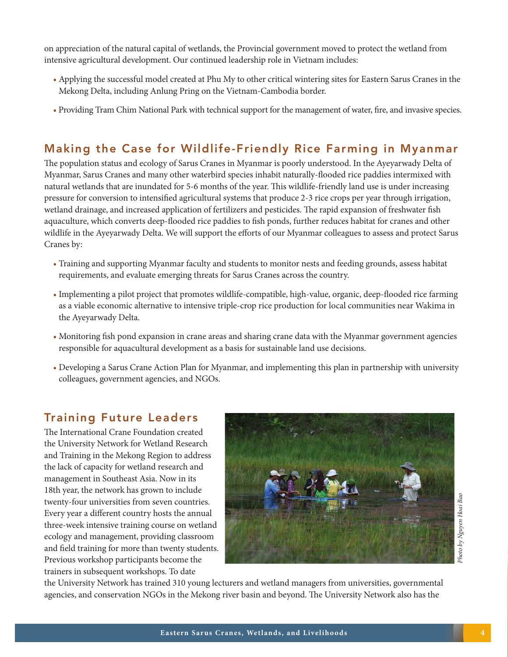on appreciation of the natural capital of wetlands, the Provincial government moved to protect the wetland from intensive agricultural development. Our continued leadership role in Vietnam includes:

- Applying the successful model created at Phu My to other critical wintering sites for Eastern Sarus Cranes in the Mekong Delta, including Anlung Pring on the Vietnam-Cambodia border.
- Providing Tram Chim National Park with technical support for the management of water, fire, and invasive species.

## Making the Case for Wildlife-Friendly Rice Farming in Myanmar

The population status and ecology of Sarus Cranes in Myanmar is poorly understood. In the Ayeyarwady Delta of Myanmar, Sarus Cranes and many other waterbird species inhabit naturally-flooded rice paddies intermixed with natural wetlands that are inundated for 5-6 months of the year. This wildlife-friendly land use is under increasing pressure for conversion to intensified agricultural systems that produce 2-3 rice crops per year through irrigation, wetland drainage, and increased application of fertilizers and pesticides. The rapid expansion of freshwater fish aquaculture, which converts deep-flooded rice paddies to fish ponds, further reduces habitat for cranes and other wildlife in the Ayeyarwady Delta. We will support the efforts of our Myanmar colleagues to assess and protect Sarus Cranes by:

- Training and supporting Myanmar faculty and students to monitor nests and feeding grounds, assess habitat requirements, and evaluate emerging threats for Sarus Cranes across the country.
- Implementing a pilot project that promotes wildlife-compatible, high-value, organic, deep-flooded rice farming as a viable economic alternative to intensive triple-crop rice production for local communities near Wakima in the Ayeyarwady Delta.
- Monitoring fish pond expansion in crane areas and sharing crane data with the Myanmar government agencies responsible for aquacultural development as a basis for sustainable land use decisions.
- Developing a Sarus Crane Action Plan for Myanmar, and implementing this plan in partnership with university colleagues, government agencies, and NGOs.

#### Training Future Leaders

The International Crane Foundation created the University Network for Wetland Research and Training in the Mekong Region to address the lack of capacity for wetland research and management in Southeast Asia. Now in its 18th year, the network has grown to include twenty-four universities from seven countries. Every year a different country hosts the annual three-week intensive training course on wetland ecology and management, providing classroom and field training for more than twenty students. Previous workshop participants become the trainers in subsequent workshops. To date



the University Network has trained 310 young lecturers and wetland managers from universities, governmental agencies, and conservation NGOs in the Mekong river basin and beyond. The University Network also has the